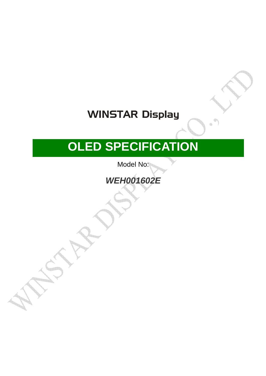# **WINSTAR Display**

# **OLED SPECIFICATION**

Model No:

## **WEH001602E**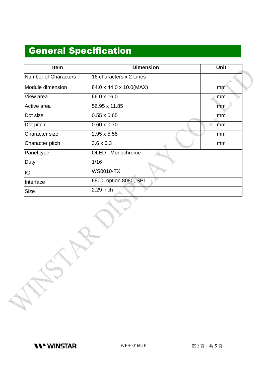### General Specification

| <b>Item</b>           | <b>Dimension</b>        | Unit |  |  |
|-----------------------|-------------------------|------|--|--|
| Number of Characters  | 16 characters x 2 Lines |      |  |  |
| Module dimension      | 84.0 x 44.0 x 10.0(MAX) | mm   |  |  |
| View area             | 66.0 x 16.0             | mm   |  |  |
| Active area           | 56.95 x 11.85           | mm   |  |  |
| Dot size              | $0.55 \times 0.65$      | mm   |  |  |
| Dot pitch             | $0.60 \times 0.70$      | mm   |  |  |
| <b>Character size</b> | $2.95 \times 5.55$      | mm   |  |  |
| Character pitch       | $3.6 \times 6.3$        | mm   |  |  |
| Panel type            | OLED, Monochrome        |      |  |  |
| Duty                  | 1/16                    |      |  |  |
| IC                    | <b>WS0010-TX</b>        |      |  |  |
| Interface             | 6800, option 8080, SPI  |      |  |  |
| Size                  | 2.29 inch               |      |  |  |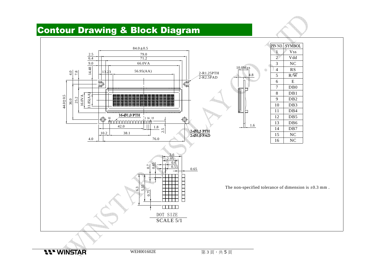#### Contour Drawing & Block Diagram

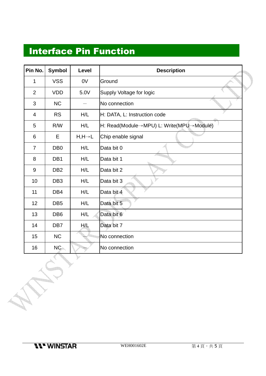#### Interface Pin Function

| Pin No.        | <b>Symbol</b>   | Level                | <b>Description</b>                       |
|----------------|-----------------|----------------------|------------------------------------------|
| 1              | <b>VSS</b>      | 0V                   | Ground                                   |
| $\overline{2}$ | <b>VDD</b>      | 5.0V                 | Supply Voltage for logic                 |
| 3              | <b>NC</b>       |                      | No connection                            |
| $\overline{4}$ | <b>RS</b>       | H/L                  | H: DATA, L: Instruction code             |
| 5              | R/W             | H/L                  | H: Read(Module→MPU) L: Write(MPU→Module) |
| 6              | Е               | $H, H \rightarrow L$ | Chip enable signal                       |
| $\overline{7}$ | DB <sub>0</sub> | H/L                  | Data bit 0                               |
| 8              | DB1             | H/L                  | Data bit 1                               |
| $9\,$          | DB <sub>2</sub> | H/L                  | Data bit 2                               |
| 10             | DB <sub>3</sub> | H/L                  | Data bit 3                               |
| 11             | DB4             | H/L                  | Data bit 4                               |
| 12             | DB <sub>5</sub> | H/L                  | Data bit 5                               |
| 13             | DB <sub>6</sub> | H/L                  | Data bit 6                               |
| 14             | DB7             | H/L                  | Data bit 7                               |
| 15             | NC              |                      | No connection                            |
| 16             | NC <sub>2</sub> |                      | No connection                            |

**Kanal**